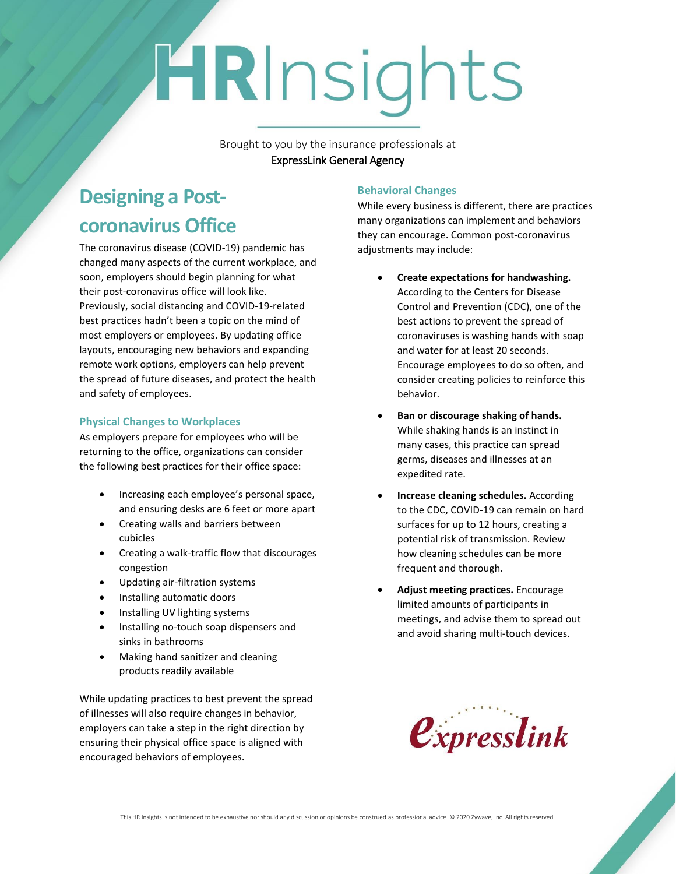# HRInsights

Brought to you by the insurance professionals at ExpressLink General Agency

# **Designing a Postcoronavirus Office**

The coronavirus disease (COVID-19) pandemic has changed many aspects of the current workplace, and soon, employers should begin planning for what their post-coronavirus office will look like. Previously, social distancing and COVID-19-related best practices hadn't been a topic on the mind of most employers or employees. By updating office layouts, encouraging new behaviors and expanding remote work options, employers can help prevent the spread of future diseases, and protect the health and safety of employees.

### **Physical Changes to Workplaces**

As employers prepare for employees who will be returning to the office, organizations can consider the following best practices for their office space:

- Increasing each employee's personal space, and ensuring desks are 6 feet or more apart
- Creating walls and barriers between cubicles
- Creating a walk-traffic flow that discourages congestion
- Updating air-filtration systems
- Installing automatic doors
- Installing UV lighting systems
- Installing no-touch soap dispensers and sinks in bathrooms
- Making hand sanitizer and cleaning products readily available

While updating practices to best prevent the spread of illnesses will also require changes in behavior, employers can take a step in the right direction by ensuring their physical office space is aligned with encouraged behaviors of employees.

# **Behavioral Changes**

While every business is different, there are practices many organizations can implement and behaviors they can encourage. Common post-coronavirus adjustments may include:

- **Create expectations for handwashing.**  According to the Centers for Disease Control and Prevention (CDC), one of the best actions to prevent the spread of coronaviruses is washing hands with soap and water for at least 20 seconds. Encourage employees to do so often, and consider creating policies to reinforce this behavior.
- **Ban or discourage shaking of hands.** While shaking hands is an instinct in many cases, this practice can spread germs, diseases and illnesses at an expedited rate.
- **Increase cleaning schedules.** According to the CDC, COVID-19 can remain on hard surfaces for up to 12 hours, creating a potential risk of transmission. Review how cleaning schedules can be more frequent and thorough.
- **Adjust meeting practices.** Encourage limited amounts of participants in meetings, and advise them to spread out and avoid sharing multi-touch devices.